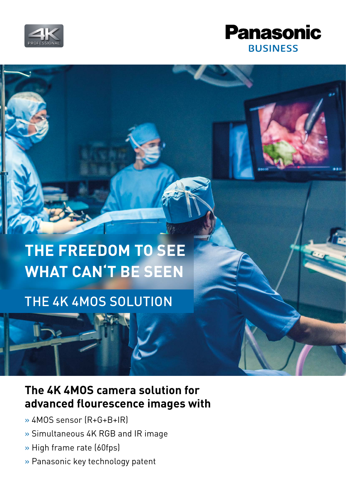



# **THE FREEDOM TO SEE WHAT CAN'T BE SEEN**

## THE 4K 4MOS SOLUTION

### **The 4K 4MOS camera solution for advanced flourescence images with**

» 4MOS sensor (R+G+B+IR)

I

- » Simultaneous 4K RGB and IR image
- » High frame rate (60fps)
- » Panasonic key technology patent